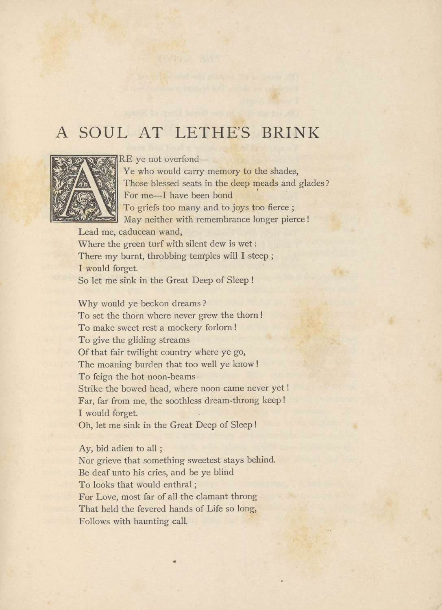## A SOUL AT LETHE'S BRINK



RE ye not overfond—

Ye who would carry memory to the shades, Those blessed seats in the deep meads and glades? For me-I have been bond To griefs too many and to joys too fierce ; May neither with remembrance longer pierce! Lead me, caducean wand, Where the green turf with silent dew is wet: There my burnt, throbbing temples will I steep ; I would forget

So let me sink in the Great Deep of Sleep !

Why would ye beckon dreams? To set the thorn where never grew the thorn ! To make sweet rest a mockery forlorn ! To give the gliding streams Of that fair twilight country where ye go, The moaning burden that too well ye know! To feign the hot noon-beams Strike the bowed head, where noon came never yet ! Far, far from me, the soothless dream-throng keep! I would forget. Oh, let me sink in the Great Deep of Sleep!

Ay, bid adieu to all; Nor grieve that something sweetest stays behind. Be deaf unto his cries, and be ye blind To looks that would enthral; For Love, most far of all the clamant throng That held the fevered hands of Life so long, Follows with haunting call.